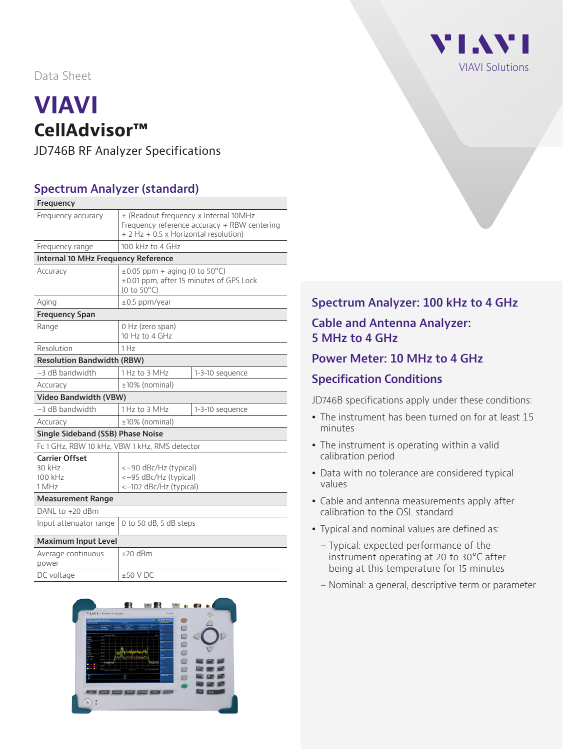Data Sheet

# **VIAVI CellAdvisor™**

JD746B RF Analyzer Specifications

#### **Spectrum Analyzer (standard)**

| Frequency                                           |                                                                                                                                |                                                                               |  |  |
|-----------------------------------------------------|--------------------------------------------------------------------------------------------------------------------------------|-------------------------------------------------------------------------------|--|--|
| Frequency accuracy                                  | ± (Readout frequency x Internal 10MHz<br>Frequency reference accuracy + RBW centering<br>+ 2 Hz + 0.5 x Horizontal resolution) |                                                                               |  |  |
| Frequency range                                     | 100 kHz to 4 GHz                                                                                                               |                                                                               |  |  |
| <b>Internal 10 MHz Frequency Reference</b>          |                                                                                                                                |                                                                               |  |  |
| Accuracy                                            | $(0 to 50^{\circ}C)$                                                                                                           | $\pm 0.05$ ppm + aging (0 to 50°C)<br>±0.01 ppm, after 15 minutes of GPS Lock |  |  |
| Aging                                               | $\pm 0.5$ ppm/year                                                                                                             |                                                                               |  |  |
| <b>Frequency Span</b>                               |                                                                                                                                |                                                                               |  |  |
| Range                                               | 0 Hz (zero span)<br>10 Hz to 4 GHz                                                                                             |                                                                               |  |  |
| Resolution                                          | 1 H <sub>z</sub>                                                                                                               |                                                                               |  |  |
| <b>Resolution Bandwidth (RBW)</b>                   |                                                                                                                                |                                                                               |  |  |
| $-3$ dB bandwidth                                   | 1 Hz to 3 MHz                                                                                                                  | 1-3-10 sequence                                                               |  |  |
| Accuracy                                            | ±10% (nominal)                                                                                                                 |                                                                               |  |  |
| <b>Video Bandwidth (VBW)</b>                        |                                                                                                                                |                                                                               |  |  |
| $-3$ dB bandwidth                                   | 1 Hz to 3 MHz                                                                                                                  | 1-3-10 sequence                                                               |  |  |
| Accuracy                                            | $±10\%$ (nominal)                                                                                                              |                                                                               |  |  |
| Single Sideband (SSB) Phase Noise                   |                                                                                                                                |                                                                               |  |  |
| Fc 1 GHz, RBW 10 kHz, VBW 1 kHz, RMS detector       |                                                                                                                                |                                                                               |  |  |
| <b>Carrier Offset</b><br>30 kHz<br>100 kHz<br>1 MHz | <-90 dBc/Hz (typical)<br><-95 dBc/Hz (typical)<br><-102 dBc/Hz (typical)                                                       |                                                                               |  |  |
| <b>Measurement Range</b>                            |                                                                                                                                |                                                                               |  |  |
| DANL to +20 dBm                                     |                                                                                                                                |                                                                               |  |  |
| Input attenuator range                              | 0 to 50 dB, 5 dB steps                                                                                                         |                                                                               |  |  |
| <b>Maximum Input Level</b>                          |                                                                                                                                |                                                                               |  |  |
| Average continuous<br>power                         | $+20$ dBm                                                                                                                      |                                                                               |  |  |
| DC voltage                                          | $+50$ V DC                                                                                                                     |                                                                               |  |  |



## VI.AVI VIAVI Solutions

#### **Spectrum Analyzer: 100 kHz to 4 GHz**

#### **Cable and Antenna Analyzer: 5 MHz to 4 GHz**

#### **Power Meter: 10 MHz to 4 GHz**

#### **Specification Conditions**

JD746B specifications apply under these conditions:

- The instrument has been turned on for at least 15 minutes
- The instrument is operating within a valid calibration period
- Data with no tolerance are considered typical values
- Cable and antenna measurements apply after calibration to the OSL standard
- Typical and nominal values are defined as:
	- Typical: expected performance of the instrument operating at 20 to 30°C after being at this temperature for 15 minutes
	- Nominal: a general, descriptive term or parameter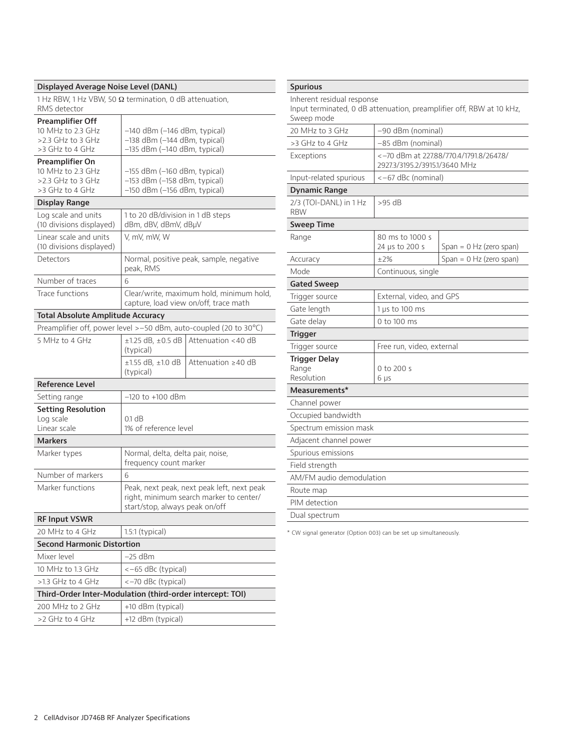#### **Displayed Average Noise Level (DANL)**

1 Hz RBW, 1 Hz VBW, 50 Ω termination, 0 dB attenuation, RMS detector

| <b>Preamplifier Off</b>                                            |                                                                                                                         |                                                                                   |  |
|--------------------------------------------------------------------|-------------------------------------------------------------------------------------------------------------------------|-----------------------------------------------------------------------------------|--|
| 10 MHz to 2.3 GHz                                                  | $-140$ dBm ( $-146$ dBm, typical)                                                                                       |                                                                                   |  |
| >2.3 GHz to 3 GHz<br>>3 GHz to 4 GHz                               | -138 dBm (-144 dBm, typical)<br>-135 dBm (-140 dBm, typical)                                                            |                                                                                   |  |
| Preamplifier On                                                    |                                                                                                                         |                                                                                   |  |
| 10 MHz to 23 GHz                                                   | $-155$ dBm ( $-160$ dBm, typical)                                                                                       |                                                                                   |  |
| $>2.3$ GHz to 3 GHz                                                | $-153$ dBm ( $-158$ dBm, typical)                                                                                       |                                                                                   |  |
| >3 GHz to 4 GHz                                                    | -150 dBm (-156 dBm, typical)                                                                                            |                                                                                   |  |
| <b>Display Range</b>                                               |                                                                                                                         |                                                                                   |  |
| Log scale and units<br>(10 divisions displayed)                    | 1 to 20 dB/division in 1 dB steps<br>dBm, dBV, dBmV, dBµV                                                               |                                                                                   |  |
| Linear scale and units                                             | V, mV, mW, W                                                                                                            |                                                                                   |  |
| (10 divisions displayed)                                           |                                                                                                                         |                                                                                   |  |
| Detectors                                                          | peak, RMS                                                                                                               | Normal, positive peak, sample, negative                                           |  |
| Number of traces                                                   | 6                                                                                                                       |                                                                                   |  |
| Trace functions                                                    |                                                                                                                         | Clear/write, maximum hold, minimum hold,<br>capture, load view on/off, trace math |  |
| <b>Total Absolute Amplitude Accuracy</b>                           |                                                                                                                         |                                                                                   |  |
| Preamplifier off, power level > -50 dBm, auto-coupled (20 to 30°C) |                                                                                                                         |                                                                                   |  |
| 5 MHz to 4 GHz                                                     | $\pm$ 1.25 dB. $\pm$ 0.5 dB                                                                                             | Attenuation <40 dB                                                                |  |
|                                                                    | (typical)                                                                                                               |                                                                                   |  |
|                                                                    | $±1.55$ dB, $±1.0$ dB<br>(typical)                                                                                      | Attenuation >40 dB                                                                |  |
| <b>Reference Level</b>                                             |                                                                                                                         |                                                                                   |  |
| Setting range                                                      | $-120$ to $+100$ dBm                                                                                                    |                                                                                   |  |
| <b>Setting Resolution</b>                                          |                                                                                                                         |                                                                                   |  |
| Log scale                                                          | $0.1$ dB                                                                                                                |                                                                                   |  |
| Linear scale                                                       | 1% of reference level                                                                                                   |                                                                                   |  |
| <b>Markers</b>                                                     |                                                                                                                         |                                                                                   |  |
| Marker types                                                       | Normal, delta, delta pair, noise,<br>frequency count marker                                                             |                                                                                   |  |
| Number of markers                                                  | 6                                                                                                                       |                                                                                   |  |
| Marker functions                                                   | Peak, next peak, next peak left, next peak<br>right, minimum search marker to center/<br>start/stop, always peak on/off |                                                                                   |  |
| <b>RF Input VSWR</b>                                               |                                                                                                                         |                                                                                   |  |
| 20 MHz to 4 GHz                                                    | $1.5:1$ (typical)                                                                                                       |                                                                                   |  |
| <b>Second Harmonic Distortion</b>                                  |                                                                                                                         |                                                                                   |  |
| Mixer level                                                        | $-25$ dBm                                                                                                               |                                                                                   |  |
| 10 MHz to 1.3 GHz                                                  | <-65 dBc (typical)                                                                                                      |                                                                                   |  |
| $>1.3$ GHz to 4 GHz                                                | <-70 dBc (typical)                                                                                                      |                                                                                   |  |
|                                                                    | Third-Order Inter-Modulation (third-order intercept: TOI)                                                               |                                                                                   |  |
| 200 MHz to 2 GHz                                                   | +10 dBm (typical)                                                                                                       |                                                                                   |  |
| >2 GHz to 4 GHz                                                    | +12 dBm (typical)                                                                                                       |                                                                                   |  |
|                                                                    |                                                                                                                         |                                                                                   |  |

| <b>Spurious</b>                                                                                                  |                                                                          |                           |  |
|------------------------------------------------------------------------------------------------------------------|--------------------------------------------------------------------------|---------------------------|--|
| Inherent residual response<br>Input terminated, 0 dB attenuation, preamplifier off, RBW at 10 kHz,<br>Sweep mode |                                                                          |                           |  |
| 20 MHz to 3 GHz                                                                                                  | -90 dBm (nominal)                                                        |                           |  |
| >3 GHz to 4 GHz                                                                                                  | -85 dBm (nominal)                                                        |                           |  |
| Exceptions                                                                                                       | <-70 dBm at 227.88/770.4/1791.8/2647.8/<br>2927.3/3195.2/3915.1/3640 MHz |                           |  |
| Input-related spurious                                                                                           | <-67 dBc (nominal)                                                       |                           |  |
| Dynamic Range                                                                                                    |                                                                          |                           |  |
| 2/3 (TOI-DANL) in 1 Hz<br><b>RBW</b>                                                                             | >95 dB                                                                   |                           |  |
| <b>Sweep Time</b>                                                                                                |                                                                          |                           |  |
| Range                                                                                                            | 80 ms to 1000 s<br>24 µs to 200 s                                        | Span = $0$ Hz (zero span) |  |
| Accuracy                                                                                                         | ±2%                                                                      | Span = $0$ Hz (zero span) |  |
| Mode                                                                                                             | Continuous, single                                                       |                           |  |
| <b>Gated Sweep</b>                                                                                               |                                                                          |                           |  |
| Trigger source                                                                                                   | External, video, and GPS                                                 |                           |  |
| Gate length                                                                                                      | 1 $\mu$ s to 100 ms                                                      |                           |  |
| Gate delay                                                                                                       | 0 to 100 ms                                                              |                           |  |
| <b>Trigger</b>                                                                                                   |                                                                          |                           |  |
| Trigger source                                                                                                   | Free run, video, external                                                |                           |  |
| <b>Trigger Delay</b><br>Range<br>Resolution                                                                      | 0 to 200 s<br>6 µs                                                       |                           |  |
| Measurements*                                                                                                    |                                                                          |                           |  |
| Channel power                                                                                                    |                                                                          |                           |  |
| Occupied bandwidth                                                                                               |                                                                          |                           |  |
| Spectrum emission mask                                                                                           |                                                                          |                           |  |
| Adjacent channel power                                                                                           |                                                                          |                           |  |
| Spurious emissions                                                                                               |                                                                          |                           |  |
| Field strength                                                                                                   |                                                                          |                           |  |
| AM/FM audio demodulation                                                                                         |                                                                          |                           |  |
| Route map                                                                                                        |                                                                          |                           |  |
| PIM detection                                                                                                    |                                                                          |                           |  |
| Dual spectrum                                                                                                    |                                                                          |                           |  |

\* CW signal generator (Option 003) can be set up simultaneously.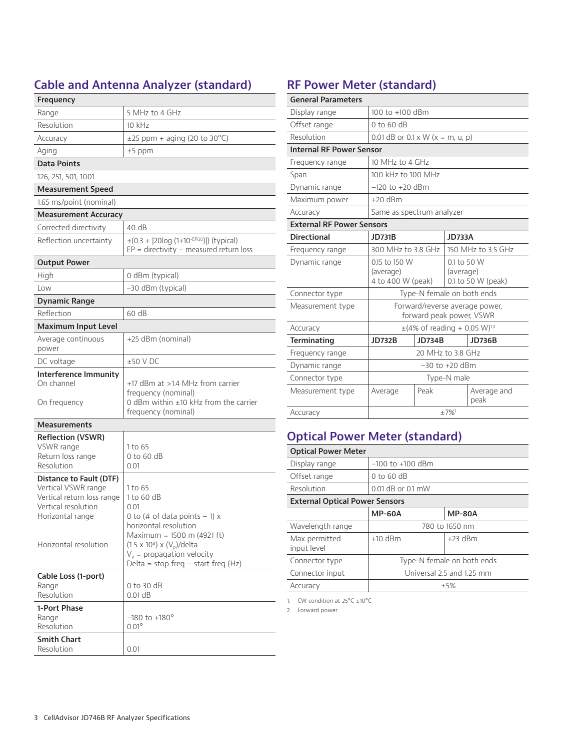### **Cable and Antenna Analyzer (standard)**

| Frequency                                                                                                                                        |                                                                                                                                                                                                                                                |
|--------------------------------------------------------------------------------------------------------------------------------------------------|------------------------------------------------------------------------------------------------------------------------------------------------------------------------------------------------------------------------------------------------|
| Range                                                                                                                                            | 5 MHz to 4 GHz                                                                                                                                                                                                                                 |
| Resolution                                                                                                                                       | 10 kHz                                                                                                                                                                                                                                         |
| Accuracy                                                                                                                                         | $\pm$ 25 ppm + aging (20 to 30 °C)                                                                                                                                                                                                             |
| Aging                                                                                                                                            | $±5$ ppm                                                                                                                                                                                                                                       |
| Data Points                                                                                                                                      |                                                                                                                                                                                                                                                |
| 126, 251, 501, 1001                                                                                                                              |                                                                                                                                                                                                                                                |
| <b>Measurement Speed</b>                                                                                                                         |                                                                                                                                                                                                                                                |
| 1.65 ms/point (nominal)                                                                                                                          |                                                                                                                                                                                                                                                |
| Measurement Accuracy                                                                                                                             |                                                                                                                                                                                                                                                |
| Corrected directivity                                                                                                                            | 40 dB                                                                                                                                                                                                                                          |
| Reflection uncertainty                                                                                                                           | $\pm (0.3 +  20log (1+10^{-EP/20}) )$ (typical)<br>$EP =$ directivity – measured return loss                                                                                                                                                   |
| <b>Output Power</b>                                                                                                                              |                                                                                                                                                                                                                                                |
| High                                                                                                                                             | 0 dBm (typical)                                                                                                                                                                                                                                |
| Low                                                                                                                                              | -30 dBm (typical)                                                                                                                                                                                                                              |
| <b>Dynamic Range</b>                                                                                                                             |                                                                                                                                                                                                                                                |
| Reflection                                                                                                                                       | 60 dB                                                                                                                                                                                                                                          |
| <b>Maximum Input Level</b>                                                                                                                       |                                                                                                                                                                                                                                                |
| Average continuous<br>power                                                                                                                      | +25 dBm (nominal)                                                                                                                                                                                                                              |
| DC voltage                                                                                                                                       | $±50$ V DC                                                                                                                                                                                                                                     |
| Interference Immunity<br>On channel<br>On frequency                                                                                              | +17 dBm at >1.4 MHz from carrier<br>frequency (nominal)<br>0 dBm within $\pm$ 10 kHz from the carrier<br>frequency (nominal)                                                                                                                   |
| <b>Measurements</b>                                                                                                                              |                                                                                                                                                                                                                                                |
| <b>Reflection (VSWR)</b><br>VSWR range<br>Return loss range<br>Resolution                                                                        | 1 to 65<br>$0$ to 60 dB<br>0.01                                                                                                                                                                                                                |
| Distance to Fault (DTF)<br>Vertical VSWR range<br>Vertical return loss range<br>Vertical resolution<br>Horizontal range<br>Horizontal resolution | 1 to 65<br>1 to 60 dB<br>0.01<br>0 to (# of data points $-1$ ) x<br>horizontal resolution<br>Maximum = 1500 m (4921 ft)<br>$(1.5 \times 10^8) \times (V_p)/delta$ lta<br>$V_p$ = propagation velocity<br>Delta = stop freq $-$ start freq (Hz) |
| Cable Loss (1-port)<br>Range<br>Resolution                                                                                                       | $0$ to 30 dB<br>0.01 dB                                                                                                                                                                                                                        |
| 1-Port Phase<br>Range<br>Resolution                                                                                                              | $-180$ to $+180^\circ$<br>$0.01^\circ$                                                                                                                                                                                                         |
| <b>Smith Chart</b><br>Resolution                                                                                                                 | 0.01                                                                                                                                                                                                                                           |

### **RF Power Meter (standard)**

| <b>General Parameters</b>        |                                                            |               |                                                |               |
|----------------------------------|------------------------------------------------------------|---------------|------------------------------------------------|---------------|
| Display range                    | 100 to +100 dBm                                            |               |                                                |               |
| Offset range                     | 0 to 60 dB                                                 |               |                                                |               |
| Resolution                       | 0.01 dB or $0.1 \times W$ (x = m, u, p)                    |               |                                                |               |
| <b>Internal RF Power Sensor</b>  |                                                            |               |                                                |               |
| Frequency range                  | 10 MHz to 4 GHz                                            |               |                                                |               |
| Span                             | 100 kHz to 100 MHz                                         |               |                                                |               |
| Dynamic range                    | $-120$ to $+20$ dBm                                        |               |                                                |               |
| Maximum power                    | $+20$ dBm                                                  |               |                                                |               |
| Accuracy                         | Same as spectrum analyzer                                  |               |                                                |               |
| <b>External RF Power Sensors</b> |                                                            |               |                                                |               |
| <b>Directional</b>               | <b>JD731B</b>                                              |               | <b>JD733A</b>                                  |               |
| Frequency range                  | 300 MHz to 3.8 GHz                                         |               | 150 MHz to 3.5 GHz                             |               |
| Dynamic range                    | 0.15 to 150 W<br>(average)<br>4 to 400 W (peak)            |               | 0.1 to 50 W<br>(average)<br>0.1 to 50 W (peak) |               |
| Connector type                   | Type-N female on both ends                                 |               |                                                |               |
| Measurement type                 | Forward/reverse average power,<br>forward peak power, VSWR |               |                                                |               |
| Accuracy                         | $\pm$ (4% of reading + 0.05 W) <sup>1,2</sup>              |               |                                                |               |
| Terminating                      | <b>JD732B</b>                                              | <b>JD734B</b> |                                                | <b>JD736B</b> |
| Frequency range                  | 20 MHz to 3.8 GHz                                          |               |                                                |               |
| Dynamic range                    | $-30$ to $+20$ dBm                                         |               |                                                |               |
| Connector type                   | Type-N male                                                |               |                                                |               |
| Measurement type                 | Peak<br>Average and<br>Average<br>peak                     |               |                                                |               |
| Accuracy                         | $+7%1$                                                     |               |                                                |               |

## **Optical Power Meter (standard)**

| <b>Optical Power Meter</b>            |                            |               |  |
|---------------------------------------|----------------------------|---------------|--|
| Display range                         | $-100$ to $+100$ dBm       |               |  |
| Offset range                          | $0$ to 60 dB               |               |  |
| Resolution                            | $0.01$ dB or $0.1$ mW      |               |  |
| <b>External Optical Power Sensors</b> |                            |               |  |
|                                       | <b>MP-60A</b>              | <b>MP-80A</b> |  |
| Wavelength range                      | 780 to 1650 nm             |               |  |
| Max permitted<br>input level          | $+10$ dBm                  | $+23$ dBm     |  |
| Connector type                        | Type-N female on both ends |               |  |
| Connector input                       | Universal 2.5 and 1.25 mm  |               |  |
| Accuracy                              | $+5%$                      |               |  |

1. CW condition at  $25^{\circ}$ C  $\pm 10^{\circ}$ C

2. Forward power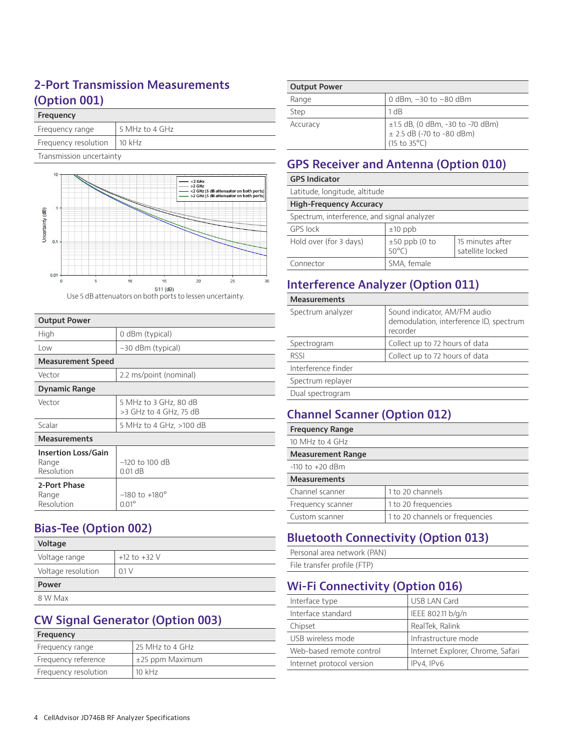#### **2-Port Transmission Measurements (Option 001)**

#### **Frequency**

| Frequency range      | 5 MHz to 4 GHz |
|----------------------|----------------|
| Frequency resolution | $10$ kHz       |

Transmission uncertainty



Use 5 dB attenuators on both ports to lessen uncertainty.

| <b>Output Power</b>                               |                                                 |
|---------------------------------------------------|-------------------------------------------------|
| High                                              | 0 dBm (typical)                                 |
| Low                                               | $-30$ dBm (typical)                             |
| <b>Measurement Speed</b>                          |                                                 |
| Vector                                            | 2.2 ms/point (nominal)                          |
| Dynamic Range                                     |                                                 |
| Vector                                            | 5 MHz to 3 GHz, 80 dB<br>>3 GHz to 4 GHz, 75 dB |
| Scalar                                            | 5 MHz to 4 GHz, >100 dB                         |
| <b>Measurements</b>                               |                                                 |
| <b>Insertion Loss/Gain</b><br>Range<br>Resolution | $-120$ to 100 dB<br>$0.01$ dB                   |
| 2-Port Phase<br>Range<br>Resolution               | $-180$ to $+180^\circ$<br>$0.01^{\circ}$        |

#### **Bias-Tee (Option 002)**

| Voltage            |                  |
|--------------------|------------------|
| Voltage range      | $+12$ to $+32$ V |
| Voltage resolution | 01V              |
| Power              |                  |

8 W Max

#### **CW Signal Generator (Option 003)**

| Frequency            |                      |
|----------------------|----------------------|
| Frequency range      | 25 MHz to 4 GHz      |
| Frequency reference  | $\pm 25$ ppm Maximum |
| Frequency resolution | $10 \text{ kHz}$     |
|                      |                      |

| <b>Output Power</b> |                                                                                                          |
|---------------------|----------------------------------------------------------------------------------------------------------|
| Range               | 0 dBm, -30 to -80 dBm                                                                                    |
| Step                | 1 dB                                                                                                     |
| Accuracy            | ±1.5 dB, (0 dBm, -30 to -70 dBm)<br>$± 2.5$ dB (-70 to -80 dBm)<br>$(15 \text{ to } 35^{\circ}\text{C})$ |

#### **GPS Receiver and Antenna (Option 010)**

| <b>GPS Indicator</b>                        |                                    |                                      |  |  |
|---------------------------------------------|------------------------------------|--------------------------------------|--|--|
| Latitude, longitude, altitude               |                                    |                                      |  |  |
| <b>High-Freguency Accuracy</b>              |                                    |                                      |  |  |
| Spectrum, interference, and signal analyzer |                                    |                                      |  |  |
| <b>GPS</b> lock                             | $±10$ ppb                          |                                      |  |  |
| Hold over (for 3 days)                      | $±50$ ppb (0 to<br>$50^{\circ}$ C) | 15 minutes after<br>satellite locked |  |  |
| Connector                                   | SMA, female                        |                                      |  |  |

#### **Interference Analyzer (Option 011)**

**Measurements**

| Spectrum analyzer   | Sound indicator, AM/FM audio<br>demodulation, interference ID, spectrum<br>recorder |
|---------------------|-------------------------------------------------------------------------------------|
| Spectrogram         | Collect up to 72 hours of data                                                      |
| RSSI                | Collect up to 72 hours of data                                                      |
| Interference finder |                                                                                     |
| Spectrum replayer   |                                                                                     |
| Dual spectrogram    |                                                                                     |

#### **Channel Scanner (Option 012)**

| <b>Frequency Range</b>   |                                 |
|--------------------------|---------------------------------|
| 10 MHz to 4 GHz          |                                 |
| <b>Measurement Range</b> |                                 |
| $-110$ to $+20$ dBm      |                                 |
| <b>Measurements</b>      |                                 |
| Channel scanner          | 1 to 20 channels                |
| Frequency scanner        | 1 to 20 frequencies             |
| Custom scanner           | 1 to 20 channels or frequencies |
|                          |                                 |

### **Bluetooth Connectivity (Option 013)**

Personal area network (PAN) File transfer profile (FTP)

#### **Wi-Fi Connectivity (Option 016)**

| Interface type            | <b>USB LAN Card</b>               |
|---------------------------|-----------------------------------|
| Interface standard        | IEEE 802.11 b/g/n                 |
| Chipset                   | RealTek, Ralink                   |
| USB wireless mode         | Infrastructure mode               |
| Web-based remote control  | Internet Explorer, Chrome, Safari |
| Internet protocol version | IPv4, IPv6                        |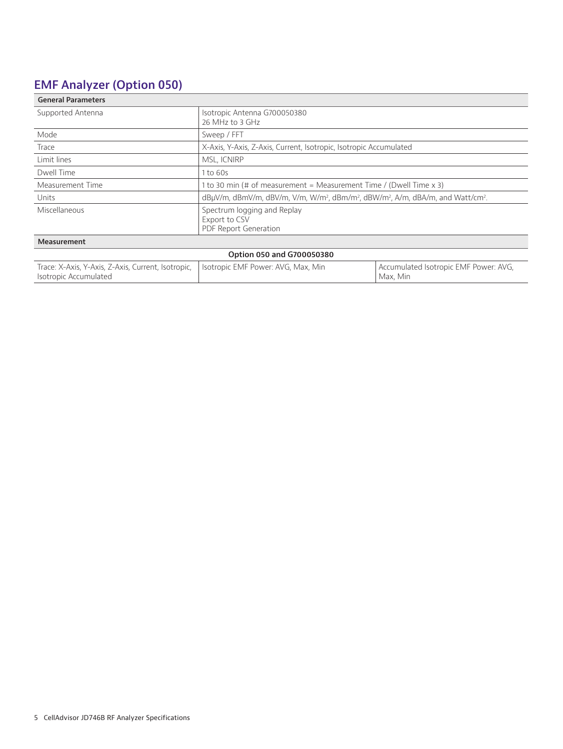### **EMF Analyzer (Option 050)**

| <b>General Parameters</b>                                                   |                                                                                                                                 |                                                   |  |
|-----------------------------------------------------------------------------|---------------------------------------------------------------------------------------------------------------------------------|---------------------------------------------------|--|
| Supported Antenna                                                           | Isotropic Antenna G700050380<br>26 MHz to 3 GHz                                                                                 |                                                   |  |
| Mode                                                                        | Sweep / FFT                                                                                                                     |                                                   |  |
| Trace                                                                       | X-Axis, Y-Axis, Z-Axis, Current, Isotropic, Isotropic Accumulated                                                               |                                                   |  |
| Limit lines                                                                 | MSL, ICNIRP                                                                                                                     |                                                   |  |
| Dwell Time                                                                  | 1 to 60s                                                                                                                        |                                                   |  |
| Measurement Time                                                            | 1 to 30 min (# of measurement = Measurement Time / (Dwell Time x 3)                                                             |                                                   |  |
| Units                                                                       | dBµV/m, dBmV/m, dBV/m, V/m, W/m <sup>2</sup> , dBm/m <sup>2</sup> , dBW/m <sup>2</sup> , A/m, dBA/m, and Watt/cm <sup>2</sup> . |                                                   |  |
| Miscellaneous                                                               | Spectrum logging and Replay<br>Export to CSV<br><b>PDF Report Generation</b>                                                    |                                                   |  |
| Measurement                                                                 |                                                                                                                                 |                                                   |  |
|                                                                             | Option 050 and G700050380                                                                                                       |                                                   |  |
| Trace: X-Axis, Y-Axis, Z-Axis, Current, Isotropic,<br>Isotropic Accumulated | Isotropic EMF Power: AVG, Max, Min                                                                                              | Accumulated Isotropic EMF Power: AVG,<br>Max, Min |  |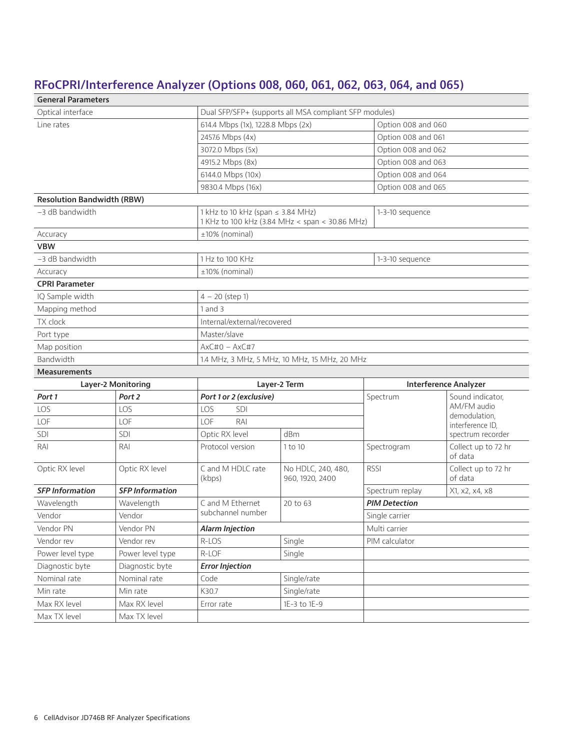### **RFoCPRI/Interference Analyzer (Options 008, 060, 061, 062, 063, 064, and 065)**

| <b>General Parameters</b>         |                        |                                                        |                                                |                      |                                |  |
|-----------------------------------|------------------------|--------------------------------------------------------|------------------------------------------------|----------------------|--------------------------------|--|
| Optical interface                 |                        | Dual SFP/SFP+ (supports all MSA compliant SFP modules) |                                                |                      |                                |  |
| Line rates                        |                        | 614.4 Mbps (1x), 1228.8 Mbps (2x)                      |                                                |                      | Option 008 and 060             |  |
|                                   |                        | 2457.6 Mbps (4x)                                       |                                                |                      | Option 008 and 061             |  |
|                                   |                        | 3072.0 Mbps (5x)                                       |                                                | Option 008 and 062   |                                |  |
|                                   |                        | 4915.2 Mbps (8x)                                       |                                                |                      | Option 008 and 063             |  |
|                                   |                        | 6144.0 Mbps (10x)                                      |                                                | Option 008 and 064   |                                |  |
|                                   |                        | 9830.4 Mbps (16x)                                      |                                                | Option 008 and 065   |                                |  |
| <b>Resolution Bandwidth (RBW)</b> |                        |                                                        |                                                |                      |                                |  |
| -3 dB bandwidth                   |                        | 1 kHz to 10 kHz (span $\leq$ 3.84 MHz)                 | 1 KHz to 100 kHz (3.84 MHz < span < 30.86 MHz) | 1-3-10 sequence      |                                |  |
| Accuracy                          |                        | ±10% (nominal)                                         |                                                |                      |                                |  |
| <b>VBW</b>                        |                        |                                                        |                                                |                      |                                |  |
| -3 dB bandwidth                   |                        | 1 Hz to 100 KHz                                        |                                                | 1-3-10 sequence      |                                |  |
| Accuracy                          |                        | ±10% (nominal)                                         |                                                |                      |                                |  |
| <b>CPRI Parameter</b>             |                        |                                                        |                                                |                      |                                |  |
| IQ Sample width                   |                        | $4 - 20$ (step 1)                                      |                                                |                      |                                |  |
| Mapping method                    |                        | $1$ and $3$                                            |                                                |                      |                                |  |
| TX clock                          |                        | Internal/external/recovered                            |                                                |                      |                                |  |
| Port type                         |                        | Master/slave                                           |                                                |                      |                                |  |
| Map position                      |                        | $AxC#0 - AxC#7$                                        |                                                |                      |                                |  |
| Bandwidth                         |                        | 1.4 MHz, 3 MHz, 5 MHz, 10 MHz, 15 MHz, 20 MHz          |                                                |                      |                                |  |
| <b>Measurements</b>               |                        |                                                        |                                                |                      |                                |  |
|                                   | Layer-2 Monitoring     |                                                        | Layer-2 Term                                   |                      | <b>Interference Analyzer</b>   |  |
| Port 1                            | Port 2                 | Port 1 or 2 (exclusive)                                |                                                | Spectrum             | Sound indicator,               |  |
| LOS                               | LOS                    | LOS<br><b>SDI</b>                                      |                                                |                      | AM/FM audio<br>demodulation,   |  |
| LOF                               | LOF                    | LOF<br>RAI                                             |                                                |                      | interference ID,               |  |
| SDI                               | SDI                    | Optic RX level                                         | dBm                                            |                      | spectrum recorder              |  |
| RAI                               | RAI                    | Protocol version                                       | 1 to 10                                        | Spectrogram          | Collect up to 72 hr<br>of data |  |
| Optic RX level                    | Optic RX level         | C and M HDLC rate<br>(kbps)                            | No HDLC, 240, 480,<br>960, 1920, 2400          | <b>RSSI</b>          | Collect up to 72 hr<br>of data |  |
| <b>SFP Information</b>            | <b>SFP Information</b> |                                                        |                                                | Spectrum replay      | X1, x2, x4, x8                 |  |
| Wavelength                        | Wavelength             | C and M Ethernet                                       | 20 to 63                                       | <b>PIM Detection</b> |                                |  |
| Vendor                            | Vendor                 | subchannel number                                      |                                                | Single carrier       |                                |  |
| Vendor PN                         | Vendor PN              | <b>Alarm Injection</b>                                 |                                                | Multi carrier        |                                |  |
| Vendor rev                        | Vendor rev             | R-LOS                                                  | Single                                         | PIM calculator       |                                |  |
| Power level type                  | Power level type       | R-LOF                                                  | Single                                         |                      |                                |  |
| Diagnostic byte                   | Diagnostic byte        | <b>Error Injection</b>                                 |                                                |                      |                                |  |
| Nominal rate                      | Nominal rate           | Code                                                   | Single/rate                                    |                      |                                |  |
| Min rate                          | Min rate               | K30.7                                                  | Single/rate                                    |                      |                                |  |
| Max RX level                      | Max RX level           | Error rate                                             | 1E-3 to 1E-9                                   |                      |                                |  |
| Max TX level                      | Max TX level           |                                                        |                                                |                      |                                |  |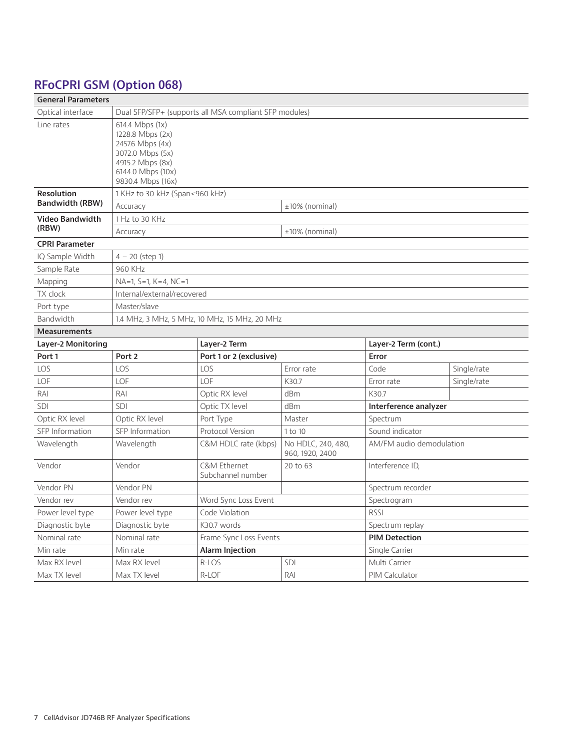### **RFoCPRI GSM (Option 068)**

| <b>General Parameters</b> |                                                                                                                                           |                                                        |                                       |                          |             |
|---------------------------|-------------------------------------------------------------------------------------------------------------------------------------------|--------------------------------------------------------|---------------------------------------|--------------------------|-------------|
| Optical interface         |                                                                                                                                           | Dual SFP/SFP+ (supports all MSA compliant SFP modules) |                                       |                          |             |
| Line rates                | 614.4 Mbps (1x)<br>1228.8 Mbps (2x)<br>2457.6 Mbps (4x)<br>3072.0 Mbps (5x)<br>4915.2 Mbps (8x)<br>6144.0 Mbps (10x)<br>9830.4 Mbps (16x) |                                                        |                                       |                          |             |
| <b>Resolution</b>         | $1$ KHz to 30 kHz (Span $\leq$ 960 kHz)                                                                                                   |                                                        |                                       |                          |             |
| <b>Bandwidth (RBW)</b>    | Accuracy                                                                                                                                  |                                                        | $±10\%$ (nominal)                     |                          |             |
| Video Bandwidth           | 1 Hz to 30 KHz                                                                                                                            |                                                        |                                       |                          |             |
| (RBW)                     | Accuracy                                                                                                                                  |                                                        | ±10% (nominal)                        |                          |             |
| <b>CPRI Parameter</b>     |                                                                                                                                           |                                                        |                                       |                          |             |
| IQ Sample Width           | $4 - 20$ (step 1)                                                                                                                         |                                                        |                                       |                          |             |
| Sample Rate               | 960 KHz                                                                                                                                   |                                                        |                                       |                          |             |
| Mapping                   | $NA=1, S=1, K=4, NC=1$                                                                                                                    |                                                        |                                       |                          |             |
| TX clock                  | Internal/external/recovered                                                                                                               |                                                        |                                       |                          |             |
| Port type                 | Master/slave                                                                                                                              |                                                        |                                       |                          |             |
| Bandwidth                 |                                                                                                                                           | 1.4 MHz, 3 MHz, 5 MHz, 10 MHz, 15 MHz, 20 MHz          |                                       |                          |             |
| <b>Measurements</b>       |                                                                                                                                           |                                                        |                                       |                          |             |
| Layer-2 Monitoring        | Layer-2 Term<br>Layer-2 Term (cont.)                                                                                                      |                                                        |                                       |                          |             |
| Port 1                    | Port <sub>2</sub>                                                                                                                         | Port 1 or 2 (exclusive)                                |                                       | Error                    |             |
| LOS                       | LOS                                                                                                                                       | LOS                                                    | Error rate                            | Code                     | Single/rate |
| LOF                       | LOF                                                                                                                                       | LOF                                                    | K30.7                                 | Error rate               | Single/rate |
| RAI                       | RAI                                                                                                                                       | Optic RX level                                         | dBm                                   | K30.7                    |             |
| SDI                       | SDI                                                                                                                                       | Optic TX level                                         | dBm<br>Interference analyzer          |                          |             |
| Optic RX level            | Optic RX level                                                                                                                            |                                                        |                                       |                          |             |
|                           |                                                                                                                                           | Port Type                                              | Master                                | Spectrum                 |             |
| SFP Information           | SFP Information                                                                                                                           | Protocol Version                                       | 1 to 10                               | Sound indicator          |             |
| Wavelength                | Wavelength                                                                                                                                | C&M HDLC rate (kbps)                                   | No HDLC, 240, 480,<br>960, 1920, 2400 | AM/FM audio demodulation |             |
| Vendor                    | Vendor                                                                                                                                    | C&M Ethernet<br>Subchannel number                      | 20 to 63                              | Interference ID,         |             |
| Vendor PN                 | Vendor PN                                                                                                                                 |                                                        |                                       | Spectrum recorder        |             |
| Vendor rev                | Vendor rev                                                                                                                                | Word Sync Loss Event                                   |                                       | Spectrogram              |             |
| Power level type          | Power level type                                                                                                                          | Code Violation                                         |                                       | <b>RSSI</b>              |             |
| Diagnostic byte           | Diagnostic byte                                                                                                                           | K30.7 words                                            |                                       | Spectrum replay          |             |
| Nominal rate              | Nominal rate                                                                                                                              | Frame Sync Loss Events                                 |                                       | <b>PIM Detection</b>     |             |
| Min rate                  | Min rate                                                                                                                                  | <b>Alarm Injection</b>                                 |                                       | Single Carrier           |             |
| Max RX level              | Max RX level                                                                                                                              | R-LOS                                                  | SDI                                   | Multi Carrier            |             |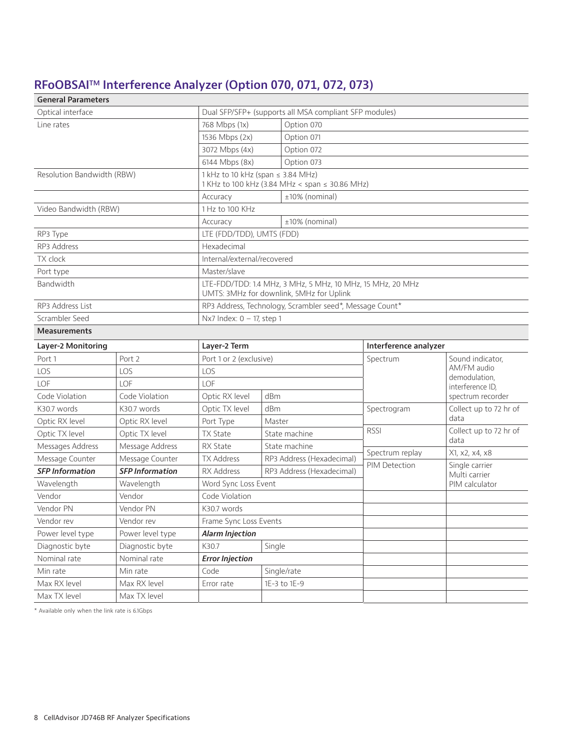### **RFoOBSAITM Interference Analyzer (Option 070, 071, 072, 073)**

| <b>General Parameters</b>  |                        |                                                        |                                                                                                        |                 |                                                  |  |
|----------------------------|------------------------|--------------------------------------------------------|--------------------------------------------------------------------------------------------------------|-----------------|--------------------------------------------------|--|
| Optical interface          |                        | Dual SFP/SFP+ (supports all MSA compliant SFP modules) |                                                                                                        |                 |                                                  |  |
| Line rates                 |                        | 768 Mbps (1x)                                          | Option 070                                                                                             |                 |                                                  |  |
|                            |                        | 1536 Mbps (2x)                                         | Option 071                                                                                             |                 |                                                  |  |
|                            |                        | 3072 Mbps (4x)                                         | Option 072                                                                                             |                 |                                                  |  |
|                            |                        | 6144 Mbps (8x)                                         | Option 073                                                                                             |                 |                                                  |  |
| Resolution Bandwidth (RBW) |                        |                                                        | 1 kHz to 10 kHz (span $\leq$ 3.84 MHz)<br>1 KHz to 100 kHz (3.84 MHz < span ≤ 30.86 MHz)               |                 |                                                  |  |
|                            |                        | Accuracy                                               | ±10% (nominal)                                                                                         |                 |                                                  |  |
| Video Bandwidth (RBW)      |                        | 1 Hz to 100 KHz                                        |                                                                                                        |                 |                                                  |  |
|                            |                        | Accuracy                                               | ±10% (nominal)                                                                                         |                 |                                                  |  |
| RP3 Type                   |                        | LTE (FDD/TDD), UMTS (FDD)                              |                                                                                                        |                 |                                                  |  |
| RP3 Address                |                        | Hexadecimal                                            |                                                                                                        |                 |                                                  |  |
| <b>TX</b> clock            |                        | Internal/external/recovered                            |                                                                                                        |                 |                                                  |  |
| Port type                  |                        | Master/slave                                           |                                                                                                        |                 |                                                  |  |
| Bandwidth                  |                        |                                                        | LTE-FDD/TDD: 1.4 MHz, 3 MHz, 5 MHz, 10 MHz, 15 MHz, 20 MHz<br>UMTS: 3MHz for downlink, 5MHz for Uplink |                 |                                                  |  |
| RP3 Address List           |                        |                                                        | RP3 Address, Technology, Scrambler seed*, Message Count*                                               |                 |                                                  |  |
| Scrambler Seed             |                        | Nx7 Index: $0 - 17$ , step 1                           |                                                                                                        |                 |                                                  |  |
| <b>Measurements</b>        |                        |                                                        |                                                                                                        |                 |                                                  |  |
| Layer-2 Monitoring         |                        | Layer-2 Term                                           | Interference analyzer                                                                                  |                 |                                                  |  |
| Port 1                     | Port 2                 |                                                        | Port 1 or 2 (exclusive)                                                                                |                 | Sound indicator,                                 |  |
| LOS                        | LOS                    | LOS                                                    |                                                                                                        |                 | AM/FM audio<br>demodulation,<br>interference ID, |  |
| LOF                        | LOF                    | <b>LOF</b>                                             |                                                                                                        |                 |                                                  |  |
| Code Violation             | Code Violation         | Optic RX level                                         | dBm                                                                                                    |                 | spectrum recorder                                |  |
| K30.7 words                | K30.7 words            | Optic TX level                                         | dBm                                                                                                    | Spectrogram     | Collect up to 72 hr of                           |  |
| Optic RX level             | Optic RX level         | Port Type                                              | Master                                                                                                 |                 | data                                             |  |
| Optic TX level             | Optic TX level         | <b>TX State</b>                                        | State machine                                                                                          | <b>RSSI</b>     | Collect up to 72 hr of                           |  |
| Messages Address           | Message Address        | <b>RX State</b>                                        | State machine                                                                                          |                 | data                                             |  |
| Message Counter            | Message Counter        | <b>TX Address</b>                                      | RP3 Address (Hexadecimal)                                                                              | Spectrum replay | X1, x2, x4, x8                                   |  |
| <b>SFP Information</b>     | <b>SFP Information</b> | RX Address                                             | RP3 Address (Hexadecimal)                                                                              | PIM Detection   | Single carrier<br>Multi carrier                  |  |
| Wavelength                 | Wavelength             | Word Sync Loss Event                                   |                                                                                                        |                 | PIM calculator                                   |  |
| Vendor                     | Vendor                 | Code Violation                                         |                                                                                                        |                 |                                                  |  |
| Vendor PN                  | Vendor PN              | K30.7 words                                            |                                                                                                        |                 |                                                  |  |
| Vendor rev                 | Vendor rev             | Frame Sync Loss Events                                 |                                                                                                        |                 |                                                  |  |
| Power level type           | Power level type       | <b>Alarm Injection</b>                                 |                                                                                                        |                 |                                                  |  |
| Diagnostic byte            | Diagnostic byte        | K30.7                                                  | Single                                                                                                 |                 |                                                  |  |
| Nominal rate               | Nominal rate           | <b>Error Injection</b>                                 |                                                                                                        |                 |                                                  |  |
| Min rate                   | Min rate               | Code                                                   | Single/rate                                                                                            |                 |                                                  |  |
| Max RX level               | Max RX level           | Error rate                                             | 1E-3 to 1E-9                                                                                           |                 |                                                  |  |
| Max TX level               | Max TX level           |                                                        |                                                                                                        |                 |                                                  |  |

\* Available only when the link rate is 6.1Gbps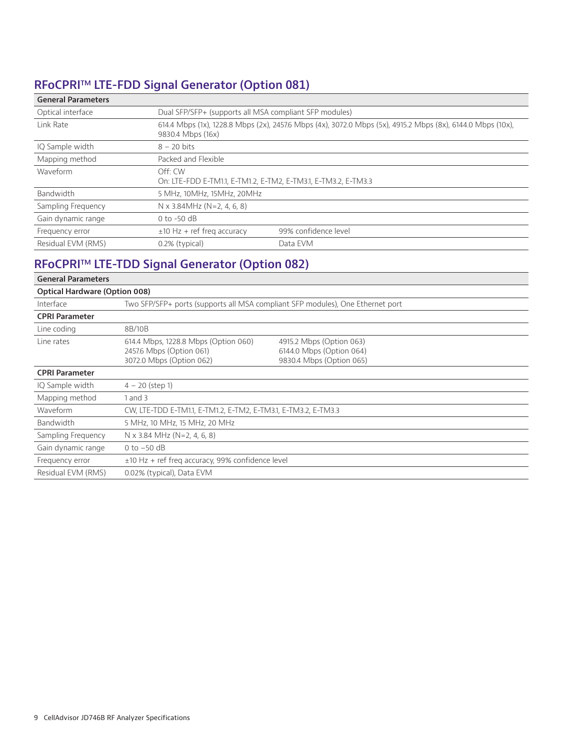### **RFoCPRITM LTE-FDD Signal Generator (Option 081)**

| <b>General Parameters</b> |                                                                           |                                                                                                             |
|---------------------------|---------------------------------------------------------------------------|-------------------------------------------------------------------------------------------------------------|
| Optical interface         | Dual SFP/SFP+ (supports all MSA compliant SFP modules)                    |                                                                                                             |
| Link Rate                 | 9830.4 Mbps (16x)                                                         | 614.4 Mbps (1x), 1228.8 Mbps (2x), 2457.6 Mbps (4x), 3072.0 Mbps (5x), 4915.2 Mbps (8x), 6144.0 Mbps (10x), |
| IQ Sample width           | $8 - 20$ bits                                                             |                                                                                                             |
| Mapping method            | Packed and Flexible                                                       |                                                                                                             |
| Waveform                  | Off: CW<br>On: LTE-FDD E-TM1.1, E-TM1.2, E-TM2, E-TM3.1, E-TM3.2, E-TM3.3 |                                                                                                             |
| Bandwidth                 | 5 MHz, 10MHz, 15MHz, 20MHz                                                |                                                                                                             |
| Sampling Frequency        | N x 3.84MHz (N=2, 4, 6, 8)                                                |                                                                                                             |
| Gain dynamic range        | $0$ to -50 dB                                                             |                                                                                                             |
| Frequency error           | $\pm$ 10 Hz + ref freg accuracy                                           | 99% confidence level                                                                                        |
| Residual EVM (RMS)        | 0.2% (typical)                                                            | Data FVM                                                                                                    |

### **RFoCPRITM LTE-TDD Signal Generator (Option 082)**

| <b>General Parameters</b>            |                                                                                              |                                                                                  |  |  |
|--------------------------------------|----------------------------------------------------------------------------------------------|----------------------------------------------------------------------------------|--|--|
| <b>Optical Hardware (Option 008)</b> |                                                                                              |                                                                                  |  |  |
| Interface                            | Two SFP/SFP+ ports (supports all MSA compliant SFP modules), One Ethernet port               |                                                                                  |  |  |
| <b>CPRI Parameter</b>                |                                                                                              |                                                                                  |  |  |
| Line coding                          | 8B/10B                                                                                       |                                                                                  |  |  |
| Line rates                           | 614.4 Mbps, 1228.8 Mbps (Option 060)<br>2457.6 Mbps (Option 061)<br>3072.0 Mbps (Option 062) | 4915.2 Mbps (Option 063)<br>6144.0 Mbps (Option 064)<br>9830.4 Mbps (Option 065) |  |  |
| <b>CPRI Parameter</b>                |                                                                                              |                                                                                  |  |  |
| IQ Sample width                      | $4 - 20$ (step 1)                                                                            |                                                                                  |  |  |
| Mapping method                       | 1 and 3                                                                                      |                                                                                  |  |  |
| Waveform                             | CW, LTE-TDD E-TM1.1, E-TM1.2, E-TM2, E-TM3.1, E-TM3.2, E-TM3.3                               |                                                                                  |  |  |
| Bandwidth                            | 5 MHz, 10 MHz, 15 MHz, 20 MHz                                                                |                                                                                  |  |  |
| Sampling Frequency                   | $N \times 3.84$ MHz (N=2, 4, 6, 8)                                                           |                                                                                  |  |  |
| Gain dynamic range                   | $0$ to $-50$ dB                                                                              |                                                                                  |  |  |
| Frequency error                      | $\pm$ 10 Hz + ref freg accuracy, 99% confidence level                                        |                                                                                  |  |  |
| Residual EVM (RMS)                   | 0.02% (typical), Data EVM                                                                    |                                                                                  |  |  |
|                                      |                                                                                              |                                                                                  |  |  |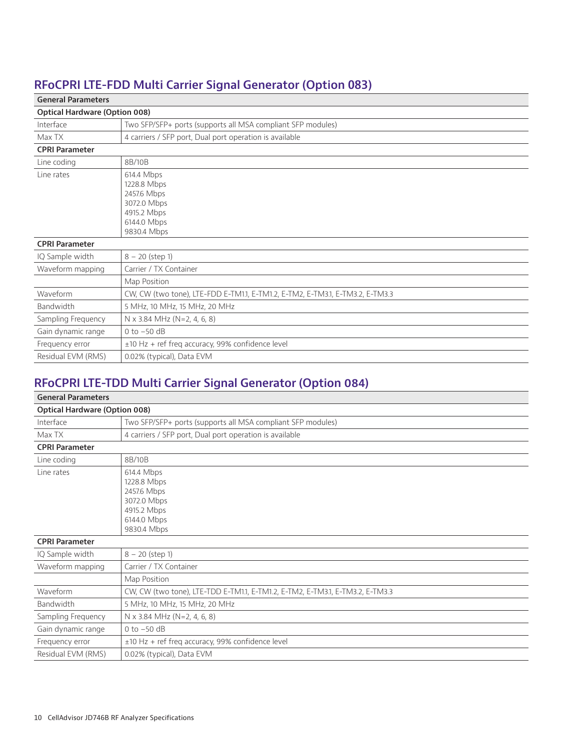### **RFoCPRI LTE-FDD Multi Carrier Signal Generator (Option 083)**

#### **General Parameters**

| <b>Optical Hardware (Option 008)</b> |                                                                                                      |
|--------------------------------------|------------------------------------------------------------------------------------------------------|
| Interface                            | Two SFP/SFP+ ports (supports all MSA compliant SFP modules)                                          |
| Max TX                               | 4 carriers / SFP port, Dual port operation is available                                              |
| <b>CPRI Parameter</b>                |                                                                                                      |
| Line coding                          | 8B/10B                                                                                               |
| Line rates                           | 614.4 Mbps<br>1228.8 Mbps<br>2457.6 Mbps<br>3072.0 Mbps<br>4915.2 Mbps<br>6144.0 Mbps<br>9830.4 Mbps |
| <b>CPRI Parameter</b>                |                                                                                                      |
| IQ Sample width                      | $8 - 20$ (step 1)                                                                                    |
| Waveform mapping                     | Carrier / TX Container                                                                               |
|                                      | Map Position                                                                                         |
| Waveform                             | CW, CW (two tone), LTE-FDD E-TM1.1, E-TM1.2, E-TM2, E-TM3.1, E-TM3.2, E-TM3.3                        |
| Bandwidth                            | 5 MHz, 10 MHz, 15 MHz, 20 MHz                                                                        |
| Sampling Frequency                   | $N \times 3.84$ MHz (N=2, 4, 6, 8)                                                                   |
| Gain dynamic range                   | $0$ to $-50$ dB                                                                                      |
| Frequency error                      | $\pm$ 10 Hz + ref freg accuracy, 99% confidence level                                                |
| Residual EVM (RMS)                   | 0.02% (typical), Data EVM                                                                            |

### **RFoCPRI LTE-TDD Multi Carrier Signal Generator (Option 084)**

| <b>General Parameters</b>            |                                                                                                      |
|--------------------------------------|------------------------------------------------------------------------------------------------------|
| <b>Optical Hardware (Option 008)</b> |                                                                                                      |
| Interface                            | Two SFP/SFP+ ports (supports all MSA compliant SFP modules)                                          |
| Max TX                               | 4 carriers / SFP port, Dual port operation is available                                              |
| <b>CPRI Parameter</b>                |                                                                                                      |
| Line coding                          | 8B/10B                                                                                               |
| Line rates                           | 614.4 Mbps<br>1228.8 Mbps<br>2457.6 Mbps<br>3072.0 Mbps<br>4915.2 Mbps<br>6144.0 Mbps<br>9830.4 Mbps |
| <b>CPRI Parameter</b>                |                                                                                                      |
| IQ Sample width                      | $8 - 20$ (step 1)                                                                                    |
| Waveform mapping                     | Carrier / TX Container                                                                               |
|                                      | Map Position                                                                                         |
| Waveform                             | CW, CW (two tone), LTE-TDD E-TM1.1, E-TM1.2, E-TM2, E-TM3.1, E-TM3.2, E-TM3.3                        |
| Bandwidth                            | 5 MHz, 10 MHz, 15 MHz, 20 MHz                                                                        |
| Sampling Frequency                   | N x 3.84 MHz (N=2, 4, 6, 8)                                                                          |
| Gain dynamic range                   | 0 to $-50$ dB                                                                                        |
| Frequency error                      | $\pm$ 10 Hz + ref freq accuracy, 99% confidence level                                                |
| Residual EVM (RMS)                   | 0.02% (typical), Data EVM                                                                            |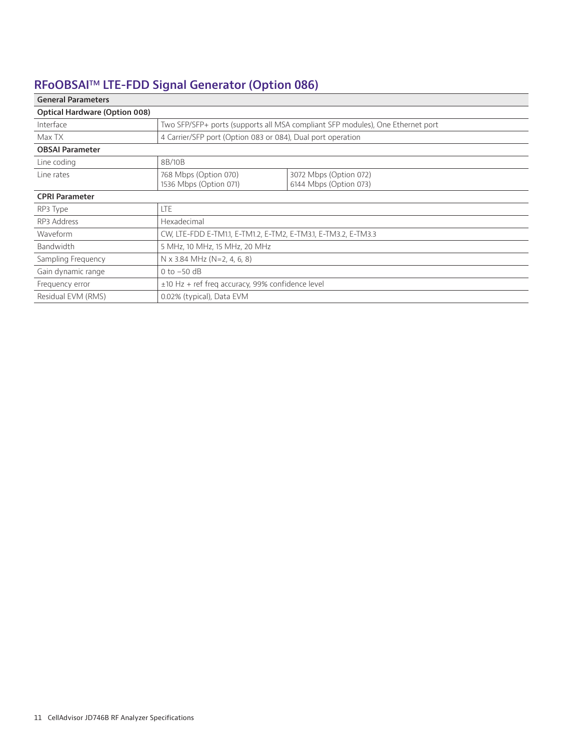## **RFoOBSAITM LTE-FDD Signal Generator (Option 086)**

| <b>General Parameters</b>            |                                                                                |                                                  |  |  |
|--------------------------------------|--------------------------------------------------------------------------------|--------------------------------------------------|--|--|
| <b>Optical Hardware (Option 008)</b> |                                                                                |                                                  |  |  |
| Interface                            | Two SFP/SFP+ ports (supports all MSA compliant SFP modules), One Ethernet port |                                                  |  |  |
| Max TX                               | 4 Carrier/SFP port (Option 083 or 084), Dual port operation                    |                                                  |  |  |
| <b>OBSAI Parameter</b>               |                                                                                |                                                  |  |  |
| Line coding                          | 8B/10B                                                                         |                                                  |  |  |
| Line rates                           | 768 Mbps (Option 070)<br>1536 Mbps (Option 071)                                | 3072 Mbps (Option 072)<br>6144 Mbps (Option 073) |  |  |
| <b>CPRI Parameter</b>                |                                                                                |                                                  |  |  |
| RP3 Type                             | LTE                                                                            |                                                  |  |  |
| RP3 Address                          | Hexadecimal                                                                    |                                                  |  |  |
| Waveform                             | CW, LTE-FDD E-TM1.1, E-TM1.2, E-TM2, E-TM3.1, E-TM3.2, E-TM3.3                 |                                                  |  |  |
| Bandwidth                            | 5 MHz, 10 MHz, 15 MHz, 20 MHz                                                  |                                                  |  |  |
| Sampling Frequency                   | $N \times 3.84$ MHz (N=2, 4, 6, 8)                                             |                                                  |  |  |
| Gain dynamic range                   | 0 to $-50$ dB                                                                  |                                                  |  |  |
| Frequency error                      | $\pm$ 10 Hz + ref freg accuracy, 99% confidence level                          |                                                  |  |  |
| Residual EVM (RMS)                   | 0.02% (typical), Data EVM                                                      |                                                  |  |  |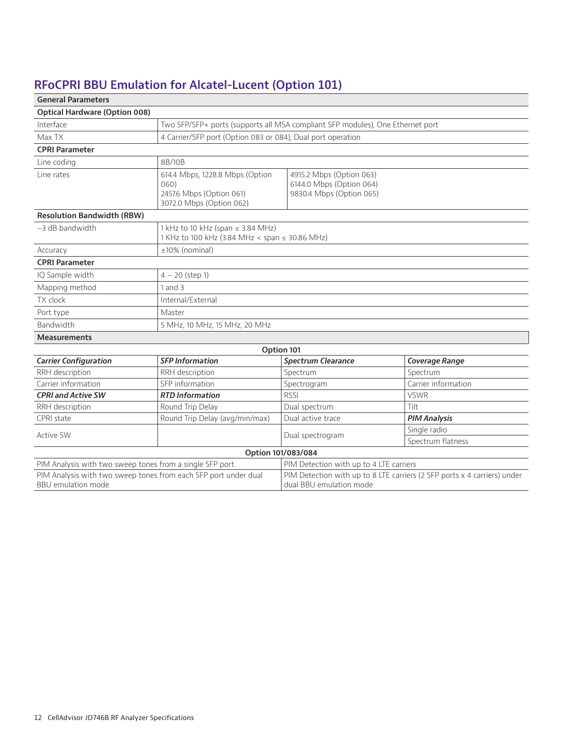## **RFoCPRI BBU Emulation for Alcatel-Lucent (Option 101)**

| <b>General Parameters</b>                                                                    |                                                                                                 |                                                                                  |                                                                          |
|----------------------------------------------------------------------------------------------|-------------------------------------------------------------------------------------------------|----------------------------------------------------------------------------------|--------------------------------------------------------------------------|
| <b>Optical Hardware (Option 008)</b>                                                         |                                                                                                 |                                                                                  |                                                                          |
| Interface                                                                                    |                                                                                                 | Two SFP/SFP+ ports (supports all MSA compliant SFP modules), One Ethernet port   |                                                                          |
| Max TX                                                                                       | 4 Carrier/SFP port (Option 083 or 084), Dual port operation                                     |                                                                                  |                                                                          |
| <b>CPRI Parameter</b>                                                                        |                                                                                                 |                                                                                  |                                                                          |
| Line coding                                                                                  | 8B/10B                                                                                          |                                                                                  |                                                                          |
| Line rates                                                                                   | 614.4 Mbps, 1228.8 Mbps (Option<br>060)<br>2457.6 Mbps (Option 061)<br>3072.0 Mbps (Option 062) | 4915.2 Mbps (Option 063)<br>6144.0 Mbps (Option 064)<br>9830.4 Mbps (Option 065) |                                                                          |
| <b>Resolution Bandwidth (RBW)</b>                                                            |                                                                                                 |                                                                                  |                                                                          |
| $-3$ dB bandwidth                                                                            | 1 kHz to 10 kHz (span ≤ 3.84 MHz)<br>1 KHz to 100 kHz (3.84 MHz < span ≤ 30.86 MHz)             |                                                                                  |                                                                          |
| Accuracy                                                                                     | ±10% (nominal)                                                                                  |                                                                                  |                                                                          |
| <b>CPRI Parameter</b>                                                                        |                                                                                                 |                                                                                  |                                                                          |
| IQ Sample width                                                                              | $4 - 20$ (step 1)                                                                               |                                                                                  |                                                                          |
| Mapping method                                                                               | 1 and 3                                                                                         |                                                                                  |                                                                          |
| TX clock                                                                                     | Internal/External                                                                               |                                                                                  |                                                                          |
| Port type                                                                                    | Master                                                                                          |                                                                                  |                                                                          |
| Bandwidth                                                                                    | 5 MHz, 10 MHz, 15 MHz, 20 MHz                                                                   |                                                                                  |                                                                          |
| <b>Measurements</b>                                                                          |                                                                                                 |                                                                                  |                                                                          |
|                                                                                              |                                                                                                 | Option 101                                                                       |                                                                          |
| <b>Carrier Configuration</b>                                                                 | <b>SFP Information</b>                                                                          | <b>Spectrum Clearance</b>                                                        | Coverage Range                                                           |
| RRH description                                                                              | RRH description                                                                                 | Spectrum                                                                         | Spectrum                                                                 |
| Carrier information                                                                          | SFP information                                                                                 | Spectrogram                                                                      | Carrier information                                                      |
| <b>CPRI and Active SW</b>                                                                    | <b>RTD</b> Information                                                                          | <b>RSSI</b>                                                                      | <b>VSWR</b>                                                              |
| RRH description                                                                              | Round Trip Delay                                                                                | Dual spectrum                                                                    | Tilt                                                                     |
| CPRI state                                                                                   | Round Trip Delay (avg/min/max)                                                                  | Dual active trace                                                                | <b>PIM Analysis</b>                                                      |
| Active SW                                                                                    |                                                                                                 | Dual spectrogram                                                                 | Single radio                                                             |
|                                                                                              |                                                                                                 |                                                                                  | Spectrum flatness                                                        |
|                                                                                              |                                                                                                 | Option 101/083/084                                                               |                                                                          |
| PIM Analysis with two sweep tones from a single SFP port.                                    |                                                                                                 | PIM Detection with up to 4 LTE carriers                                          |                                                                          |
| PIM Analysis with two sweep tones from each SFP port under dual<br><b>BBU</b> emulation mode |                                                                                                 | dual BBU emulation mode                                                          | PIM Detection with up to 8 LTE carriers (2 SFP ports x 4 carriers) under |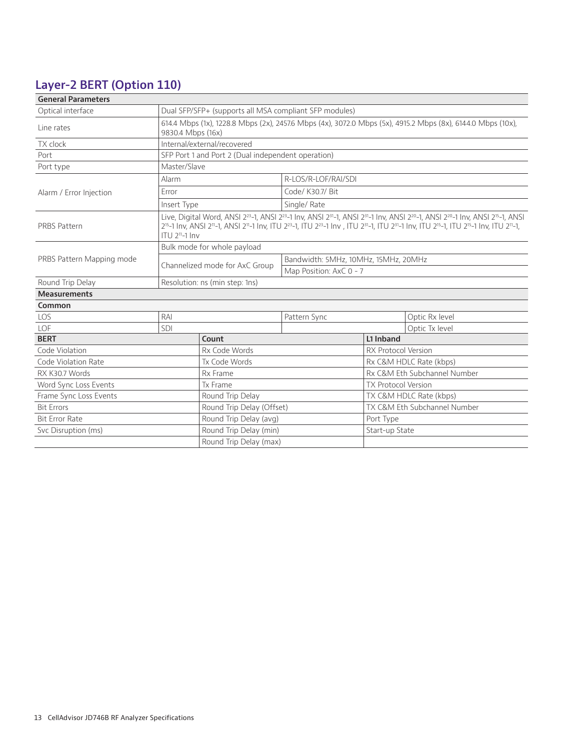### **Layer-2 BERT (Option 110)**

| <b>General Parameters</b>                       |                                                                                                                                                                                                                                                                                                                                                                                                                                                                                                                        |                                                           |                                      |                              |                |
|-------------------------------------------------|------------------------------------------------------------------------------------------------------------------------------------------------------------------------------------------------------------------------------------------------------------------------------------------------------------------------------------------------------------------------------------------------------------------------------------------------------------------------------------------------------------------------|-----------------------------------------------------------|--------------------------------------|------------------------------|----------------|
| Optical interface                               |                                                                                                                                                                                                                                                                                                                                                                                                                                                                                                                        | Dual SFP/SFP+ (supports all MSA compliant SFP modules)    |                                      |                              |                |
| Line rates                                      | 614.4 Mbps (1x), 1228.8 Mbps (2x), 2457.6 Mbps (4x), 3072.0 Mbps (5x), 4915.2 Mbps (8x), 6144.0 Mbps (10x),<br>9830.4 Mbps (16x)                                                                                                                                                                                                                                                                                                                                                                                       |                                                           |                                      |                              |                |
| TX clock                                        |                                                                                                                                                                                                                                                                                                                                                                                                                                                                                                                        | Internal/external/recovered                               |                                      |                              |                |
| Port                                            |                                                                                                                                                                                                                                                                                                                                                                                                                                                                                                                        | SFP Port 1 and Port 2 (Dual independent operation)        |                                      |                              |                |
| Port type                                       | Master/Slave                                                                                                                                                                                                                                                                                                                                                                                                                                                                                                           |                                                           |                                      |                              |                |
|                                                 | Alarm                                                                                                                                                                                                                                                                                                                                                                                                                                                                                                                  |                                                           | R-LOS/R-LOF/RAI/SDI                  |                              |                |
| Alarm / Error Injection                         | Error                                                                                                                                                                                                                                                                                                                                                                                                                                                                                                                  |                                                           | Code/ K30.7/ Bit                     |                              |                |
|                                                 | Insert Type                                                                                                                                                                                                                                                                                                                                                                                                                                                                                                            |                                                           | Single/Rate                          |                              |                |
| PRBS Pattern                                    | Live, Digital Word, ANSI 2 <sup>23</sup> -1, ANSI 2 <sup>23</sup> -1 Inv, ANSI 2 <sup>31</sup> -1, ANSI 2 <sup>31</sup> -1 Inv, ANSI 2 <sup>20</sup> -1, ANSI 2 <sup>20</sup> -1 Inv, ANSI 2 <sup>15</sup> -1, ANSI<br>2 <sup>15</sup> -1 lnv, ANSI 2 <sup>11</sup> -1, ANSI 2 <sup>11</sup> -1 lnv, ITU 2 <sup>23</sup> -1, ITU 2 <sup>23</sup> -1 lnv, ITU 2 <sup>31</sup> -1, ITU 2 <sup>31</sup> -1 lnv, ITU 2 <sup>15</sup> -1, ITU 2 <sup>15</sup> -1 lnv, ITU 2 <sup>11</sup> -1,<br>ITU 2 <sup>11</sup> -1 Inv |                                                           |                                      |                              |                |
|                                                 | Bulk mode for whole payload                                                                                                                                                                                                                                                                                                                                                                                                                                                                                            |                                                           |                                      |                              |                |
| PRBS Pattern Mapping mode                       |                                                                                                                                                                                                                                                                                                                                                                                                                                                                                                                        |                                                           | Bandwidth: 5MHz, 10MHz, 15MHz, 20MHz |                              |                |
|                                                 |                                                                                                                                                                                                                                                                                                                                                                                                                                                                                                                        | Channelized mode for AxC Group<br>Map Position: AxC 0 - 7 |                                      |                              |                |
| Round Trip Delay                                | Resolution: ns (min step: 1ns)                                                                                                                                                                                                                                                                                                                                                                                                                                                                                         |                                                           |                                      |                              |                |
| <b>Measurements</b>                             |                                                                                                                                                                                                                                                                                                                                                                                                                                                                                                                        |                                                           |                                      |                              |                |
| Common                                          |                                                                                                                                                                                                                                                                                                                                                                                                                                                                                                                        |                                                           |                                      |                              |                |
| LOS                                             | RAI                                                                                                                                                                                                                                                                                                                                                                                                                                                                                                                    |                                                           | Pattern Sync                         |                              | Optic Rx level |
| LOF                                             | SDI                                                                                                                                                                                                                                                                                                                                                                                                                                                                                                                    |                                                           |                                      |                              | Optic Tx level |
| <b>BERT</b>                                     |                                                                                                                                                                                                                                                                                                                                                                                                                                                                                                                        | Count                                                     |                                      | L1 Inband                    |                |
| Code Violation                                  |                                                                                                                                                                                                                                                                                                                                                                                                                                                                                                                        | Rx Code Words                                             |                                      | <b>RX Protocol Version</b>   |                |
| Code Violation Rate                             |                                                                                                                                                                                                                                                                                                                                                                                                                                                                                                                        | Tx Code Words                                             |                                      | Rx C&M HDLC Rate (kbps)      |                |
| RX K30.7 Words                                  | Rx Frame                                                                                                                                                                                                                                                                                                                                                                                                                                                                                                               |                                                           |                                      | Rx C&M Eth Subchannel Number |                |
| Word Sync Loss Events<br>Tx Frame               |                                                                                                                                                                                                                                                                                                                                                                                                                                                                                                                        |                                                           | <b>TX Protocol Version</b>           |                              |                |
| Frame Sync Loss Events<br>Round Trip Delay      |                                                                                                                                                                                                                                                                                                                                                                                                                                                                                                                        |                                                           | TX C&M HDLC Rate (kbps)              |                              |                |
| <b>Bit Errors</b><br>Round Trip Delay (Offset)  |                                                                                                                                                                                                                                                                                                                                                                                                                                                                                                                        |                                                           | TX C&M Eth Subchannel Number         |                              |                |
| <b>Bit Error Rate</b><br>Round Trip Delay (avg) |                                                                                                                                                                                                                                                                                                                                                                                                                                                                                                                        |                                                           | Port Type                            |                              |                |
| Svc Disruption (ms)                             |                                                                                                                                                                                                                                                                                                                                                                                                                                                                                                                        | Round Trip Delay (min)                                    |                                      | Start-up State               |                |
|                                                 |                                                                                                                                                                                                                                                                                                                                                                                                                                                                                                                        | Round Trip Delay (max)                                    |                                      |                              |                |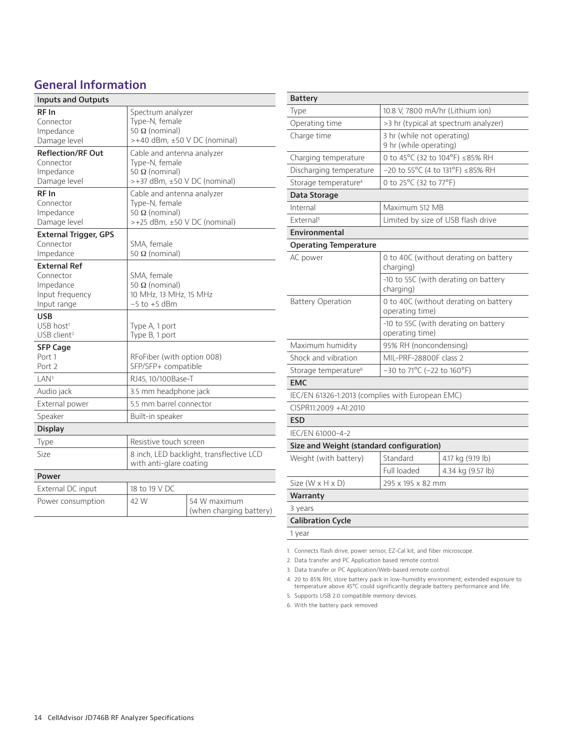### **General Information**

| <b>Inputs and Outputs</b>                                                       |                                                                                                       |                                         |  |
|---------------------------------------------------------------------------------|-------------------------------------------------------------------------------------------------------|-----------------------------------------|--|
| RF In<br>Connector<br>Impedance<br>Damage level                                 | Spectrum analyzer<br>Type-N, female<br>50 Ω (nominal)<br>$> +40$ dBm, $\pm 50$ V DC (nominal)         |                                         |  |
| <b>Reflection/RF Out</b><br>Connector<br>Impedance<br>Damage level              | Cable and antenna analyzer<br>Type-N, female<br>50 $\Omega$ (nominal)<br>>+37 dBm, ±50 V DC (nominal) |                                         |  |
| RF In<br>Connector<br>Impedance<br>Damage level                                 | Cable and antenna analyzer<br>Type-N, female<br>50 Ω (nominal)<br>$>+25$ dBm, $\pm 50$ V DC (nominal) |                                         |  |
| <b>External Trigger, GPS</b><br>Connector<br>Impedance                          | SMA, female<br>50 $\Omega$ (nominal)                                                                  |                                         |  |
| <b>External Ref</b><br>Connector<br>Impedance<br>Input frequency<br>Input range | SMA, female<br>50 Ω (nominal)<br>10 MHz, 13 MHz, 15 MHz<br>$-5$ to $+5$ dBm                           |                                         |  |
| <b>USB</b><br>$USB$ host <sup>1</sup><br>USB client <sup>2</sup>                | Type A, 1 port<br>Type B, 1 port                                                                      |                                         |  |
| <b>SFP Cage</b><br>Port 1<br>Port 2                                             | RFoFiber (with option 008)<br>SFP/SFP+ compatible                                                     |                                         |  |
| LAN <sup>3</sup>                                                                | RJ45, 10/100Base-T                                                                                    |                                         |  |
| Audio jack                                                                      | 3.5 mm headphone jack                                                                                 |                                         |  |
| External power                                                                  | 5.5 mm barrel connector                                                                               |                                         |  |
| Speaker                                                                         | Built-in speaker                                                                                      |                                         |  |
| <b>Display</b>                                                                  |                                                                                                       |                                         |  |
| Type                                                                            | Resistive touch screen                                                                                |                                         |  |
| Size                                                                            | 8 inch, LED backlight, transflective LCD<br>with anti-glare coating                                   |                                         |  |
| Power                                                                           |                                                                                                       |                                         |  |
| External DC input                                                               | 18 to 19 V DC                                                                                         |                                         |  |
| Power consumption                                                               | 42 W                                                                                                  | 54 W maximum<br>(when charging battery) |  |

| <b>Battery</b>                                                                       |                                                         |                                       |  |
|--------------------------------------------------------------------------------------|---------------------------------------------------------|---------------------------------------|--|
| Type                                                                                 | 10.8 V, 7800 mA/hr (Lithium ion)                        |                                       |  |
| Operating time                                                                       | >3 hr (typical at spectrum analyzer)                    |                                       |  |
| Charge time                                                                          | 3 hr (while not operating)<br>9 hr (while operating)    |                                       |  |
| Charging temperature                                                                 | 0 to 45°C (32 to 104°F) ≤85% RH                         |                                       |  |
| Discharging temperature                                                              |                                                         | $-20$ to 55°C (4 to 131°F) ≤85% RH    |  |
| Storage temperature <sup>4</sup>                                                     | 0 to 25°C (32 to 77°F)                                  |                                       |  |
| Data Storage                                                                         |                                                         |                                       |  |
| Internal                                                                             | Maximum 512 MB                                          |                                       |  |
| External <sup>5</sup>                                                                |                                                         | Limited by size of USB flash drive    |  |
| Environmental                                                                        |                                                         |                                       |  |
| <b>Operating Temperature</b>                                                         |                                                         |                                       |  |
| AC power                                                                             | charging)                                               | 0 to 40C (without derating on battery |  |
|                                                                                      | -10 to 55C (with derating on battery<br>charging)       |                                       |  |
| 0 to 40C (without derating on battery<br><b>Battery Operation</b><br>operating time) |                                                         |                                       |  |
|                                                                                      | -10 to 55C (with derating on battery<br>operating time) |                                       |  |
| Maximum humidity                                                                     | 95% RH (noncondensing)                                  |                                       |  |
| Shock and vibration                                                                  | MIL-PRF-28800F class 2                                  |                                       |  |
| Storage temperature <sup>6</sup>                                                     | $-30$ to 71°C (-22 to 160°F)                            |                                       |  |
| <b>EMC</b>                                                                           |                                                         |                                       |  |
| IEC/EN 61326-1:2013 (complies with European EMC)                                     |                                                         |                                       |  |
| CISPR11:2009 +A1:2010                                                                |                                                         |                                       |  |
| <b>ESD</b>                                                                           |                                                         |                                       |  |
| IEC/EN 61000-4-2                                                                     |                                                         |                                       |  |
| Size and Weight (standard configuration)                                             |                                                         |                                       |  |
| Weight (with battery)                                                                | Standard                                                | 4.17 kg (9.19 lb)                     |  |
|                                                                                      | Full loaded                                             | 4.34 kg (9.57 lb)                     |  |
| Size ( $W \times H \times D$ )                                                       | 295 x 195 x 82 mm                                       |                                       |  |
| Warranty                                                                             |                                                         |                                       |  |
| 3 years                                                                              |                                                         |                                       |  |
| <b>Calibration Cycle</b>                                                             |                                                         |                                       |  |
| 1 year                                                                               |                                                         |                                       |  |

1. Connects flash drive, power sensor, EZ-Cal kit, and fiber microscope.

2. Data transfer and PC Application based remote control.

3. Data transfer or PC Application/Web-based remote control.

4. 20 to 85% RH, store battery pack in low-humidity environment; extended exposure to temperature above 45°C could significantly degrade battery performance and life.

5. Supports USB 2.0 compatible memory devices.

6. With the battery pack removed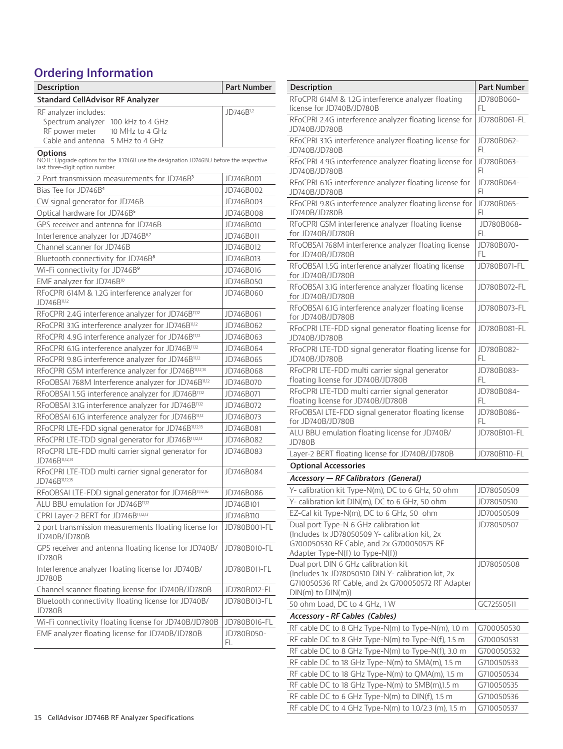### **Ordering Information**

| Description                                                                                                                                 | <b>Part Number</b> |
|---------------------------------------------------------------------------------------------------------------------------------------------|--------------------|
| <b>Standard CellAdvisor RF Analyzer</b>                                                                                                     |                    |
| RF analyzer includes:                                                                                                                       | JD746B1,2          |
| Spectrum analyzer<br>100 kHz to 4 GHz<br>RF power meter<br>10 MHz to 4 GHz                                                                  |                    |
| Cable and antenna<br>5 MHz to 4 GHz                                                                                                         |                    |
| <b>Options</b><br>NOTE: Upgrade options for the JD746B use the designation JD746BU before the respective<br>last three-digit option number. |                    |
| 2 Port transmission measurements for JD746B <sup>3</sup>                                                                                    | JD746B001          |
| Bias Tee for JD746B <sup>4</sup>                                                                                                            | JD746B002          |
| CW signal generator for JD746B                                                                                                              | JD746B003          |
| Optical hardware for JD746B <sup>5</sup>                                                                                                    | JD746B008          |
| GPS receiver and antenna for JD746B                                                                                                         | JD746B010          |
| Interference analyzer for JD746B <sup>6,7</sup>                                                                                             | JD746B011          |
| Channel scanner for JD746B                                                                                                                  | JD746B012          |
| Bluetooth connectivity for JD746B <sup>8</sup>                                                                                              | JD746B013          |
| Wi-Fi connectivity for JD746B9                                                                                                              | JD746B016          |
| EMF analyzer for JD746B <sup>10</sup>                                                                                                       | JD746B050          |
| RFoCPRI 614M & 1.2G interference analyzer for<br>JD746B11,12                                                                                | JD746B060          |
| RFoCPRI 2.4G interference analyzer for JD746B11,12                                                                                          | JD746B061          |
| RFoCPRI 3.1G interference analyzer for JD746B <sup>11,12</sup>                                                                              | JD746B062          |
| RFoCPRI 4.9G interference analyzer for JD746B <sup>11,12</sup>                                                                              | JD746B063          |
| RFoCPRI 6.1G interference analyzer for JD746B <sup>11,12</sup>                                                                              | JD746B064          |
| RFoCPRI 9.8G interference analyzer for JD746B <sup>11,12</sup>                                                                              | JD746B065          |
| RFoCPRI GSM interference analyzer for JD746B11,12,13                                                                                        | JD746B068          |
| RFoOBSAI 768M Interference analyzer for JD746B11,12                                                                                         | JD746B070          |
| RFoOBSAI 1.5G interference analyzer for JD746B <sup>11,12</sup>                                                                             | JD746B071          |
| RFoOBSAI 3.1G interference analyzer for JD746B11,12                                                                                         | JD746B072          |
| RFoOBSAI 6.1G interference analyzer for JD746B11,12                                                                                         | JD746B073          |
| RFoCPRI LTE-FDD signal generator for JD746B11,12,13                                                                                         | JD746B081          |
| RFoCPRI LTE-TDD signal generator for JD746B11,12,13                                                                                         | JD746B082          |
| RFoCPRI LTE-FDD multi carrier signal generator for<br>JD746B11,12,14                                                                        | JD746B083          |
| RFoCPRI LTE-TDD multi carrier signal generator for<br>JD746B11,12,15                                                                        | JD746B084          |
| RFoOBSAI LTE-FDD signal generator for JD746B11,12,16                                                                                        | JD746B086          |
| ALU BBU emulation for JD746B11,12                                                                                                           | JD746B101          |
| CPRI Layer-2 BERT for JD746B11,12,13                                                                                                        | JD746B110          |
| 2 port transmission measurements floating license for<br>JD740B/JD780B                                                                      | JD780B001-FL       |
| GPS receiver and antenna floating license for JD740B/<br>JD780B                                                                             | JD780B010-FL       |
| Interference analyzer floating license for JD740B/<br>JD780B                                                                                | JD780B011-FL       |
| Channel scanner floating license for JD740B/JD780B                                                                                          | JD780B012-FL       |
| Bluetooth connectivity floating license for JD740B/<br>JD780B                                                                               | JD780B013-FL       |
| Wi-Fi connectivity floating license for JD740B/JD780B                                                                                       | JD780B016-FL       |
| EMF analyzer floating license for JD740B/JD780B                                                                                             | JD780B050-<br>FL   |

| Description                                                                                                                                                              | <b>Part Number</b> |
|--------------------------------------------------------------------------------------------------------------------------------------------------------------------------|--------------------|
| RFoCPRI 614M & 1.2G interference analyzer floating<br>license for JD740B/JD780B                                                                                          | JD780B060-<br>FL   |
| RFoCPRI 2.4G interference analyzer floating license for<br>JD740B/JD780B                                                                                                 | JD780B061-FL       |
| RFoCPRI 3.1G interference analyzer floating license for<br>JD740B/JD780B                                                                                                 | JD780B062-<br>FL   |
| RFoCPRI 4.9G interference analyzer floating license for<br>JD740B/JD780B                                                                                                 | JD780B063-<br>FL   |
| RFoCPRI 6.1G interference analyzer floating license for<br>JD740B/JD780B                                                                                                 | JD780B064-<br>FL   |
| RFoCPRI 9.8G interference analyzer floating license for<br>JD740B/JD780B                                                                                                 | JD780B065-<br>FL   |
| RFoCPRI GSM interference analyzer floating license<br>for JD740B/JD780B                                                                                                  | JD780B068-<br>FL   |
| RFoOBSAI 768M interference analyzer floating license<br>for JD740B/JD780B                                                                                                | JD780B070-<br>FL.  |
| RFoOBSAI 1.5G interference analyzer floating license<br>for JD740B/JD780B                                                                                                | JD780B071-FL       |
| RFoOBSAI 3.1G interference analyzer floating license<br>for JD740B/JD780B                                                                                                | JD780B072-FL       |
| RFoOBSAI 6.1G interference analyzer floating license<br>for JD740B/JD780B                                                                                                | JD780B073-FL       |
| RFoCPRI LTE-FDD signal generator floating license for<br>JD740B/JD780B                                                                                                   | JD780B081-FL       |
| RFoCPRI LTE-TDD signal generator floating license for<br>JD740B/JD780B                                                                                                   | JD780B082-<br>FL   |
| RFoCPRI LTE-FDD multi carrier signal generator<br>floating license for JD740B/JD780B                                                                                     | JD780B083-<br>FL   |
| RFoCPRI LTE-TDD multi carrier signal generator<br>floating license for JD740B/JD780B                                                                                     | JD780B084-<br>FL.  |
| RFoOBSAI LTE-FDD signal generator floating license<br>for JD740B/JD780B                                                                                                  | JD780B086-<br>FL   |
| ALU BBU emulation floating license for JD740B/<br><b>JD780B</b>                                                                                                          | JD780B101-FL       |
| Layer-2 BERT floating license for JD740B/JD780B<br><b>Optional Accessories</b>                                                                                           | JD780B110-FL       |
| <b>Accessory - RF Calibrators (General)</b>                                                                                                                              |                    |
| Y- calibration kit Type-N(m), DC to 6 GHz, 50 ohm                                                                                                                        | JD78050509         |
| Y- calibration kit DIN(m), DC to 6 GHz, 50 ohm                                                                                                                           | JD78050510         |
| EZ-Cal kit Type-N(m), DC to 6 GHz, 50 ohm                                                                                                                                | JD70050509         |
| Dual port Type-N 6 GHz calibration kit<br>(Includes 1x JD78050509 Y- calibration kit, 2x<br>G700050530 RF Cable, and 2x G700050575 RF<br>Adapter Type-N(f) to Type-N(f)) | JD78050507         |
| Dual port DIN 6 GHz calibration kit<br>(Includes 1x JD78050510 DIN Y- calibration kit, 2x<br>G710050536 RF Cable, and 2x G700050572 RF Adapter<br>$DIN(m)$ to $DIN(m)$ ) | JD78050508         |
| 50 ohm Load, DC to 4 GHz, 1 W                                                                                                                                            | GC72550511         |
| <b>Accessory - RF Cables (Cables)</b>                                                                                                                                    |                    |
| RF cable DC to 8 GHz Type-N(m) to Type-N(m), 1.0 m                                                                                                                       | G700050530         |
| RF cable DC to 8 GHz Type-N(m) to Type-N(f), 1.5 m                                                                                                                       | G700050531         |
| RF cable DC to 8 GHz Type-N(m) to Type-N(f), 3.0 m                                                                                                                       | G700050532         |
| RF cable DC to 18 GHz Type-N(m) to SMA(m), 1.5 m                                                                                                                         | G710050533         |
| RF cable DC to 18 GHz Type-N(m) to QMA(m), 1.5 m                                                                                                                         | G710050534         |
| RF cable DC to 18 GHz Type-N(m) to SMB(m),1.5 m                                                                                                                          | G710050535         |
| RF cable DC to 6 GHz Type-N(m) to DIN(f), 1.5 m                                                                                                                          | G710050536         |
| RF cable DC to 4 GHz Type-N(m) to 1.0/2.3 (m), 1.5 m                                                                                                                     | G710050537         |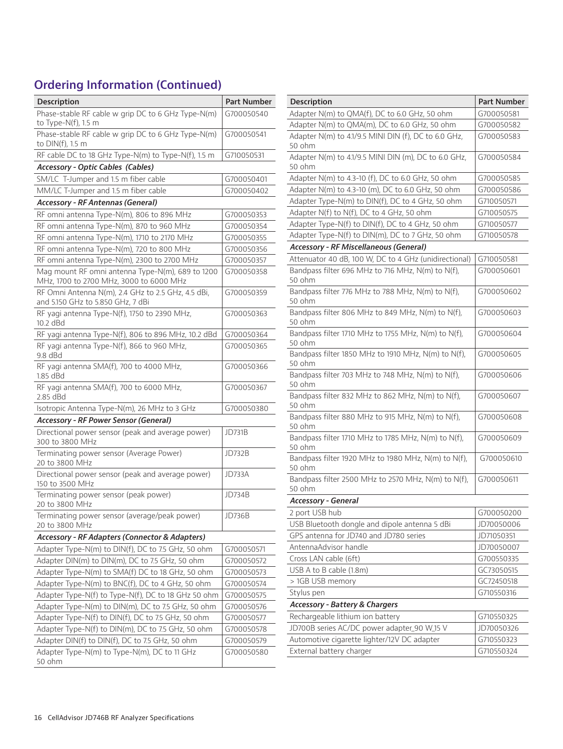### **Ordering Information (Continued)**

| <b>Description</b>                                                                          | <b>Part Number</b> |
|---------------------------------------------------------------------------------------------|--------------------|
| Phase-stable RF cable w grip DC to 6 GHz Type-N(m)<br>to Type-N(f), 1.5 m                   | G700050540         |
| Phase-stable RF cable w grip DC to 6 GHz Type-N(m)<br>to DIN(f), 1.5 m                      | G700050541         |
| RF cable DC to 18 GHz Type-N(m) to Type-N(f), 1.5 m                                         | G710050531         |
| <b>Accessory - Optic Cables (Cables)</b>                                                    |                    |
| SM/LC T-Jumper and 1.5 m fiber cable                                                        | G700050401         |
| MM/LC T-Jumper and 1.5 m fiber cable                                                        | G700050402         |
| <b>Accessory - RF Antennas (General)</b>                                                    |                    |
| RF omni antenna Type-N(m), 806 to 896 MHz                                                   | G700050353         |
| RF omni antenna Type-N(m), 870 to 960 MHz                                                   | G700050354         |
| RF omni antenna Type-N(m), 1710 to 2170 MHz                                                 | G700050355         |
| RF omni antenna Type-N(m), 720 to 800 MHz                                                   | G700050356         |
| RF omni antenna Type-N(m), 2300 to 2700 MHz                                                 | G700050357         |
| Mag mount RF omni antenna Type-N(m), 689 to 1200<br>MHz, 1700 to 2700 MHz, 3000 to 6000 MHz | G700050358         |
| RF Omni Antenna N(m), 2.4 GHz to 2.5 GHz, 4.5 dBi,<br>and 5.150 GHz to 5.850 GHz, 7 dBi     | G700050359         |
| RF yagi antenna Type-N(f), 1750 to 2390 MHz,<br>10.2 dBd                                    | G700050363         |
| RF yagi antenna Type-N(f), 806 to 896 MHz, 10.2 dBd                                         | G700050364         |
| RF yagi antenna Type-N(f), 866 to 960 MHz,<br>9.8 dBd                                       | G700050365         |
| RF yagi antenna SMA(f), 700 to 4000 MHz,<br>1.85 dBd                                        | G700050366         |
| RF yagi antenna SMA(f), 700 to 6000 MHz,<br>2.85 dBd                                        | G700050367         |
| Isotropic Antenna Type-N(m), 26 MHz to 3 GHz                                                | G700050380         |
| <b>Accessory - RF Power Sensor (General)</b>                                                |                    |
| Directional power sensor (peak and average power)<br>300 to 3800 MHz                        | JD731B             |
| Terminating power sensor (Average Power)<br>20 to 3800 MHz                                  | JD732B             |
| Directional power sensor (peak and average power)<br>150 to 3500 MHz                        | JD733A             |
| Terminating power sensor (peak power)<br>20 to 3800 MHz                                     | JD734B             |
| Terminating power sensor (average/peak power)<br>20 to 3800 MHz                             | JD736B             |
| <b>Accessory - RF Adapters (Connector &amp; Adapters)</b>                                   |                    |
| Adapter Type-N(m) to DIN(f), DC to 7.5 GHz, 50 ohm                                          | G700050571         |
| Adapter DIN(m) to DIN(m), DC to 7.5 GHz, 50 ohm                                             | G700050572         |
| Adapter Type-N(m) to SMA(f) DC to 18 GHz, 50 ohm                                            | G700050573         |
| Adapter Type-N(m) to BNC(f), DC to 4 GHz, 50 ohm                                            | G700050574         |
| Adapter Type-N(f) to Type-N(f), DC to 18 GHz 50 ohm                                         | G700050575         |
| Adapter Type-N(m) to DIN(m), DC to 7.5 GHz, 50 ohm                                          | G700050576         |
| Adapter Type-N(f) to DIN(f), DC to 7.5 GHz, 50 ohm                                          | G700050577         |
| Adapter Type-N(f) to DIN(m), DC to 7.5 GHz, 50 ohm                                          | G700050578         |
| Adapter DIN(f) to DIN(f), DC to 7.5 GHz, 50 ohm                                             | G700050579         |
| Adapter Type-N(m) to Type-N(m), DC to 11 GHz<br>50 ohm                                      | G700050580         |

| Description                                                    | Part Number |
|----------------------------------------------------------------|-------------|
| Adapter N(m) to QMA(f), DC to 6.0 GHz, 50 ohm                  | G700050581  |
| Adapter N(m) to QMA(m), DC to 6.0 GHz, 50 ohm                  | G700050582  |
| Adapter N(m) to 4.1/9.5 MINI DIN (f), DC to 6.0 GHz,<br>50 ohm | G700050583  |
| Adapter N(m) to 4.1/9.5 MINI DIN (m), DC to 6.0 GHz,<br>50 ohm | G700050584  |
| Adapter N(m) to 4.3-10 (f), DC to 6.0 GHz, 50 ohm              | G700050585  |
| Adapter N(m) to 4.3-10 (m), DC to 6.0 GHz, 50 ohm              | G700050586  |
| Adapter Type-N(m) to DIN(f), DC to 4 GHz, 50 ohm               | G710050571  |
| Adapter N(f) to N(f), DC to 4 GHz, 50 ohm                      | G710050575  |
| Adapter Type-N(f) to DIN(f), DC to 4 GHz, 50 ohm               | G710050577  |
| Adapter Type-N(f) to DIN(m), DC to 7 GHz, 50 ohm               | G710050578  |
| <b>Accessory - RF Miscellaneous (General)</b>                  |             |
| Attenuator 40 dB, 100 W, DC to 4 GHz (unidirectional)          | G710050581  |
| Bandpass filter 696 MHz to 716 MHz, N(m) to N(f),<br>50 ohm    | G700050601  |
| Bandpass filter 776 MHz to 788 MHz, N(m) to N(f),<br>50 ohm    | G700050602  |
| Bandpass filter 806 MHz to 849 MHz, N(m) to N(f),<br>50 ohm    | G700050603  |
| Bandpass filter 1710 MHz to 1755 MHz, N(m) to N(f),<br>50 ohm  | G700050604  |
| Bandpass filter 1850 MHz to 1910 MHz, N(m) to N(f),<br>50 ohm  | G700050605  |
| Bandpass filter 703 MHz to 748 MHz, N(m) to N(f),<br>50 ohm    | G700050606  |
| Bandpass filter 832 MHz to 862 MHz, N(m) to N(f),<br>50 ohm    | G700050607  |
| Bandpass filter 880 MHz to 915 MHz, N(m) to N(f),<br>50 ohm    | G700050608  |
| Bandpass filter 1710 MHz to 1785 MHz, N(m) to N(f),<br>50 ohm  | G700050609  |
| Bandpass filter 1920 MHz to 1980 MHz, N(m) to N(f),<br>50 ohm  | G700050610  |
| Bandpass filter 2500 MHz to 2570 MHz, N(m) to N(f),<br>50 ohm  | G700050611  |
| <b>Accessory - General</b>                                     |             |
| 2 port USB hub                                                 | G700050200  |
| USB Bluetooth dongle and dipole antenna 5 dBi                  | JD70050006  |
| GPS antenna for JD740 and JD780 series                         | JD71050351  |
| AntennaAdvisor handle                                          | JD70050007  |
| Cross LAN cable (6ft)                                          | G700550335  |
| USB A to B cable (1.8m)                                        | GC73050515  |
| > 1GB USB memory                                               | GC72450518  |
| Stylus pen                                                     | G710550316  |
| <b>Accessory - Battery &amp; Chargers</b>                      |             |
| Rechargeable lithium ion battery                               | G710550325  |
| JD700B series AC/DC power adapter_90 W_15 V                    | JD70050326  |
| Automotive cigarette lighter/12V DC adapter                    | G710550323  |
| External battery charger                                       | G710550324  |